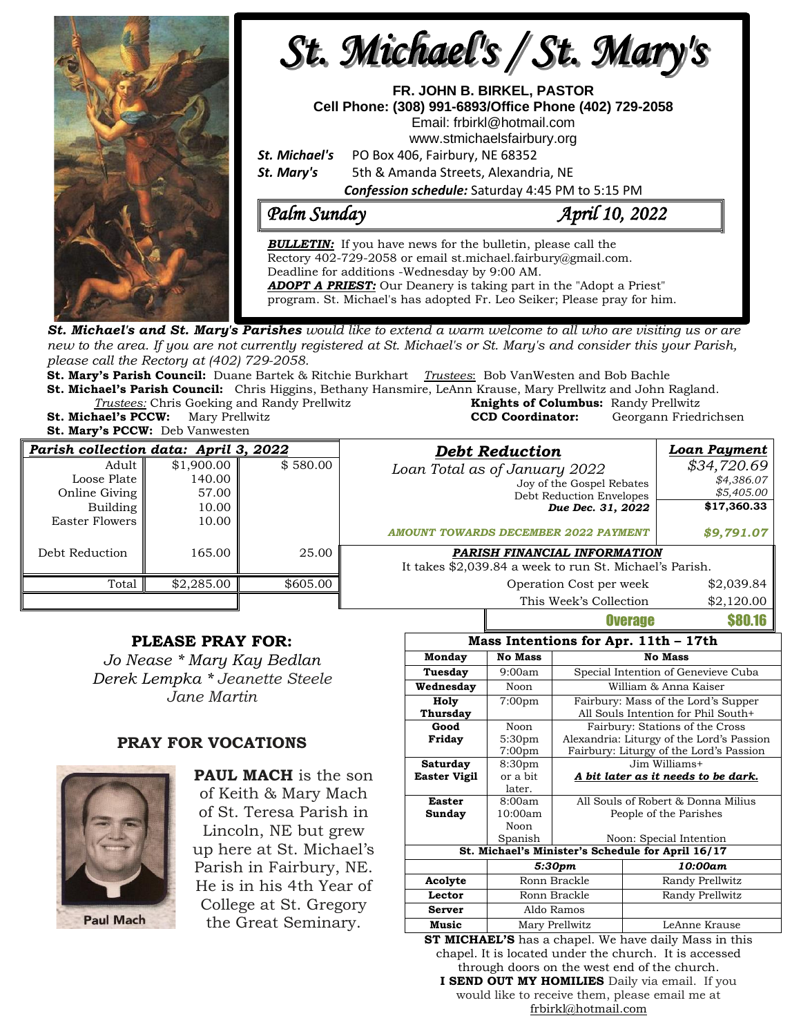

**St. Michael's and St. Mary's Parishes** would like to extend a warm welcome to all who are visiting us or are new to the area. If you are not currently registered at St. Michael's or St. Mary's and consider this your Parish, *please call the Rectory at (402) 729-2058.* 

**St. Mary's Parish Council:** Duane Bartek & Ritchie Burkhart *Trustees*: Bob VanWesten and Bob Bachle **St. Michael's Parish Council:** Chris Higgins, Bethany Hansmire, LeAnn Krause, Mary Prellwitz and John Ragland.

*Trustees:* Chris Goeking and Randy Prellwitz **Knights of Columbus:** Randy Prellwitz **Mary Prellwitz <b>CCD CCD CCD Coordinator:** Georgann Friedrichsen

**St. Mary's PCCW:** Deb Vanwesten

| Parish collection data: April 3, 2022                                  |                                                 |          | <b>Debt Reduction</b>                                                                                                                  | Loan Payment                                           |  |  |
|------------------------------------------------------------------------|-------------------------------------------------|----------|----------------------------------------------------------------------------------------------------------------------------------------|--------------------------------------------------------|--|--|
| Adult<br>Loose Plate II<br>Online Giving<br>Building<br>Easter Flowers | \$1,900.00<br>140.00<br>57.00<br>10.00<br>10.00 | \$580.00 | Loan Total as of January 2022<br>Joy of the Gospel Rebates<br>Debt Reduction Envelopes<br>Due Dec. 31, 2022                            | \$34,720.69<br>\$4,386.07<br>\$5,405.00<br>\$17,360.33 |  |  |
| Debt Reduction                                                         | 165.00                                          | 25.00    | <b>AMOUNT TOWARDS DECEMBER 2022 PAYMENT</b><br>PARISH FINANCIAL INFORMATION<br>It takes \$2,039.84 a week to run St. Michael's Parish. | \$9,791.07                                             |  |  |
| Total                                                                  | \$2,285.00                                      | \$605.00 | Operation Cost per week                                                                                                                | \$2,039.84                                             |  |  |
|                                                                        |                                                 |          | This Week's Collection                                                                                                                 | \$2,120.00                                             |  |  |

### **PLEASE PRAY FOR:**

*Jo Nease \* Mary Kay Bedlan Derek Lempka \* Jeanette Steele Jane Martin*

### **PRAY FOR VOCATIONS**



**PAUL MACH** is the son of Keith & Mary Mach of St. Teresa Parish in Lincoln, NE but grew up here at St. Michael's Parish in Fairbury, NE. He is in his 4th Year of College at St. Gregory the Great Seminary.

| Mass Intentions for Apr. 11th - 17th              |                    |                                            |                                         |  |  |  |
|---------------------------------------------------|--------------------|--------------------------------------------|-----------------------------------------|--|--|--|
| Monday                                            | <b>No Mass</b>     | <b>No Mass</b>                             |                                         |  |  |  |
| Tuesday<br>9:00am                                 |                    | Special Intention of Genevieve Cuba        |                                         |  |  |  |
| Wednesday                                         | Noon               | William & Anna Kaiser                      |                                         |  |  |  |
| Holy                                              | 7:00 <sub>pm</sub> | Fairbury: Mass of the Lord's Supper        |                                         |  |  |  |
| Thursday                                          |                    |                                            | All Souls Intention for Phil South+     |  |  |  |
| Good                                              | Noon               | Fairbury: Stations of the Cross            |                                         |  |  |  |
| Friday                                            | 5:30 <sub>pm</sub> | Alexandria: Liturgy of the Lord's Passion  |                                         |  |  |  |
|                                                   | 7:00 <sub>pm</sub> |                                            | Fairbury: Liturgy of the Lord's Passion |  |  |  |
| Saturday<br>8:30 <sub>pm</sub>                    |                    | Jim Williams+                              |                                         |  |  |  |
| Easter Vigil                                      | or a bit           | <u>A bit later as it needs to be dark.</u> |                                         |  |  |  |
|                                                   | later.             |                                            |                                         |  |  |  |
| <b>Easter</b>                                     | 8:00am             | All Souls of Robert & Donna Milius         |                                         |  |  |  |
| Sunday                                            | 10:00am            | People of the Parishes                     |                                         |  |  |  |
|                                                   | Noon               |                                            |                                         |  |  |  |
|                                                   | Spanish            |                                            | Noon: Special Intention                 |  |  |  |
| St. Michael's Minister's Schedule for April 16/17 |                    |                                            |                                         |  |  |  |
|                                                   |                    | 5:30pm                                     | 10:00am                                 |  |  |  |
| Acolyte                                           |                    | Ronn Brackle                               | Randy Prellwitz                         |  |  |  |
| Lector                                            |                    | Ronn Brackle                               | Randy Prellwitz                         |  |  |  |
| <b>Server</b>                                     |                    | Aldo Ramos                                 |                                         |  |  |  |
| Music                                             |                    | Mary Prellwitz                             | LeAnne Krause                           |  |  |  |

Overage \$80.16

**ST MICHAEL'S** has a chapel. We have daily Mass in this chapel. It is located under the church. It is accessed through doors on the west end of the church. **I SEND OUT MY HOMILIES** Daily via email. If you

would like to receive them, please email me at [frbirkl@hotmail.com](mailto:frbirkl@hotmail.com)